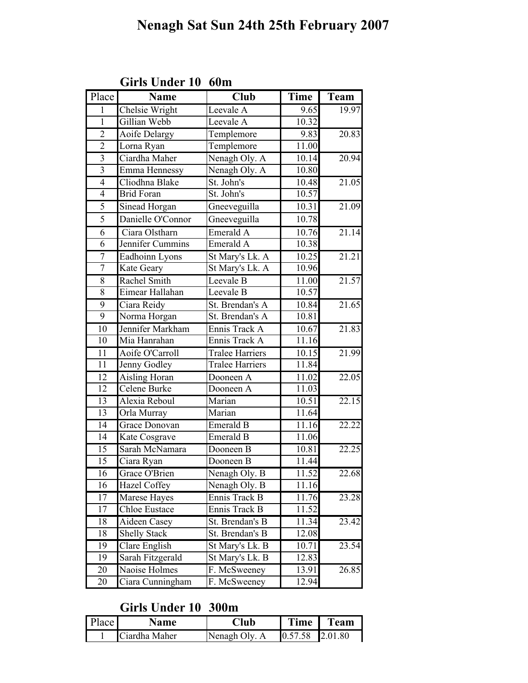| Place           | <b>Name</b>          | <b>Club</b>            | <b>Time</b> | Team  |
|-----------------|----------------------|------------------------|-------------|-------|
| $\mathbf{1}$    | Chelsie Wright       | Leevale A              | 9.65        | 19.97 |
| $\mathbf{1}$    | Gillian Webb         | Leevale A              | 10.32       |       |
| $\overline{c}$  | <b>Aoife Delargy</b> | Templemore             | 9.83        | 20.83 |
| $\overline{2}$  | Lorna Ryan           | Templemore             | 11.00       |       |
| $\mathfrak{Z}$  | Ciardha Maher        | Nenagh Oly. A          | 10.14       | 20.94 |
| $\overline{3}$  | Emma Hennessy        | Nenagh Oly. A          | 10.80       |       |
| $\overline{4}$  | Cliodhna Blake       | St. John's             | 10.48       | 21.05 |
| $\overline{4}$  | <b>Brid Foran</b>    | St. John's             | 10.57       |       |
| 5               | Sinead Horgan        | Gneeveguilla           | 10.31       | 21.09 |
| 5               | Danielle O'Connor    | Gneeveguilla           | 10.78       |       |
| 6               | Ciara Olstharn       | Emerald A              | 10.76       | 21.14 |
| $\overline{6}$  | Jennifer Cummins     | Emerald A              | 10.38       |       |
| $\overline{7}$  | Eadhoinn Lyons       | St Mary's Lk. A        | 10.25       | 21.21 |
| $\overline{7}$  | Kate Geary           | St Mary's Lk. A        | 10.96       |       |
| $\overline{8}$  | Rachel Smith         | Leevale B              | 11.00       | 21.57 |
| 8               | Eimear Hallahan      | Leevale B              | 10.57       |       |
| 9               | Ciara Reidy          | St. Brendan's A        | 10.84       | 21.65 |
| $\overline{9}$  | Norma Horgan         | St. Brendan's A        | 10.81       |       |
| $\overline{10}$ | Jennifer Markham     | Ennis Track A          | 10.67       | 21.83 |
| 10              | Mia Hanrahan         | Ennis Track A          | 11.16       |       |
| $\overline{11}$ | Aoife O'Carroll      | <b>Tralee Harriers</b> | 10.15       | 21.99 |
| 11              | Jenny Godley         | <b>Tralee Harriers</b> | 11.84       |       |
| 12              | Aisling Horan        | Dooneen A              | 11.02       | 22.05 |
| $\overline{12}$ | Celene Burke         | Dooneen A              | 11.03       |       |
| 13              | Alexia Reboul        | Marian                 | 10.51       | 22.15 |
| 13              | Orla Murray          | Marian                 | 11.64       |       |
| 14              | Grace Donovan        | Emerald B              | 11.16       | 22.22 |
| 14              | Kate Cosgrave        | Emerald B              | 11.06       |       |
| 15              | Sarah McNamara       | Dooneen B              | 10.81       | 22.25 |
| $\overline{15}$ | Ciara Ryan           | Dooneen B              | 11.44       |       |
| 16              | Grace O'Brien        | Nenagh Oly. B          | 11.52       | 22.68 |
| 16              | Hazel Coffey         | Nenagh Oly. B          | 11.16       |       |
| 17              | Marese Hayes         | Ennis Track B          | 11.76       | 23.28 |
| 17              | Chloe Eustace        | Ennis Track B          | 11.52       |       |
| 18              | Aideen Casey         | St. Brendan's B        | 11.34       | 23.42 |
| 18              | <b>Shelly Stack</b>  | St. Brendan's B        | 12.08       |       |
| 19              | Clare English        | St Mary's Lk. B        | 10.71       | 23.54 |
| 19              | Sarah Fitzgerald     | St Mary's Lk. B        | 12.83       |       |
| 20              | Naoise Holmes        | F. McSweeney           | 13.91       | 26.85 |
| 20              | Ciara Cunningham     | F. McSweeney           | 12.94       |       |

#### Girls Under 10 60m

### Girls Under 10 300m

| Place | Name          | $\mathbf{L}$ lub | Time              | <b>Team</b> |
|-------|---------------|------------------|-------------------|-------------|
|       | Ciardha Maher | Nenagh Oly. A    | $0.57.58$ 2.01.80 |             |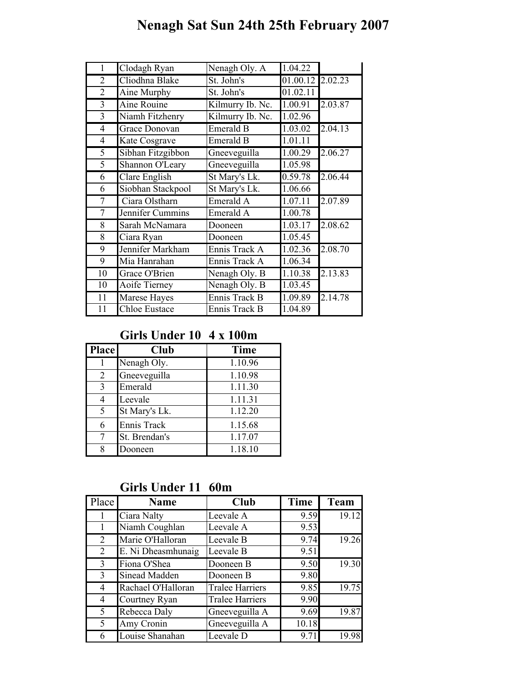| $\mathbf{1}$   | Clodagh Ryan         | Nenagh Oly. A    | 1.04.22              |         |
|----------------|----------------------|------------------|----------------------|---------|
| $\overline{2}$ | Cliodhna Blake       | St. John's       | 01.00.12             | 2.02.23 |
| $\overline{2}$ | Aine Murphy          | St. John's       | 01.02.11             |         |
| $\overline{3}$ | Aine Rouine          | Kilmurry Ib. Nc. | 1.00.91              | 2.03.87 |
| $\overline{3}$ | Niamh Fitzhenry      | Kilmurry Ib. Nc. | 1.02.96              |         |
| $\overline{4}$ | Grace Donovan        | Emerald B        | 1.03.02              | 2.04.13 |
| 4              | Kate Cosgrave        | <b>Emerald B</b> | 1.01.11              |         |
| 5              | Sibhan Fitzgibbon    | Gneeveguilla     | 1.00.29              | 2.06.27 |
| 5              | Shannon O'Leary      | Gneeveguilla     | $\overline{1.05.98}$ |         |
| 6              | Clare English        | St Mary's Lk.    | 0.59.78              | 2.06.44 |
| 6              | Siobhan Stackpool    | St Mary's Lk.    | 1.06.66              |         |
| 7              | Ciara Olstharn       | Emerald A        | 1.07.11              | 2.07.89 |
| 7              | Jennifer Cummins     | Emerald A        | 1.00.78              |         |
| 8              | Sarah McNamara       | Dooneen          | 1.03.17              | 2.08.62 |
| 8              | Ciara Ryan           | Dooneen          | 1.05.45              |         |
| 9              | Jennifer Markham     | Ennis Track A    | 1.02.36              | 2.08.70 |
| 9              | Mia Hanrahan         | Ennis Track A    | 1.06.34              |         |
| 10             | Grace O'Brien        | Nenagh Oly. B    | 1.10.38              | 2.13.83 |
| 10             | Aoife Tierney        | Nenagh Oly. B    | 1.03.45              |         |
| 11             | Marese Hayes         | Ennis Track B    | 1.09.89              | 2.14.78 |
| 11             | <b>Chloe Eustace</b> | Ennis Track B    | 1.04.89              |         |

### Girls Under 10 4 x 100m

| <b>Place</b> | Club          | <b>Time</b> |
|--------------|---------------|-------------|
|              | Nenagh Oly.   | 1.10.96     |
| 2            | Gneeveguilla  | 1.10.98     |
| 3            | Emerald       | 1.11.30     |
| 4            | Leevale       | 1.11.31     |
| 5            | St Mary's Lk. | 1.12.20     |
| 6            | Ennis Track   | 1.15.68     |
|              | St. Brendan's | 1.17.07     |
| 8            | Dooneen       | 1.18.10     |

Girls Under 11 60m

| Place          | <b>Name</b>        | Club                   | Time  | <b>Team</b> |
|----------------|--------------------|------------------------|-------|-------------|
|                | Ciara Nalty        | Leevale A              | 9.59  | 19.12       |
| 1              | Niamh Coughlan     | Leevale A              | 9.53  |             |
| 2              | Marie O'Halloran   | Leevale B              | 9.74  | 19.26       |
| $\overline{2}$ | E. Ni Dheasmhunaig | Leevale B              | 9.51  |             |
| 3              | Fiona O'Shea       | Dooneen B              | 9.50  | 19.30       |
| 3              | Sinead Madden      | Dooneen B              | 9.80  |             |
| 4              | Rachael O'Halloran | <b>Tralee Harriers</b> | 9.85  | 19.75       |
| 4              | Courtney Ryan      | <b>Tralee Harriers</b> | 9.90  |             |
| 5              | Rebecca Daly       | Gneeveguilla A         | 9.69  | 19.87       |
| 5              | Amy Cronin         | Gneeveguilla A         | 10.18 |             |
| 6              | Louise Shanahan    | Leevale D              | 9.71  | 19.98       |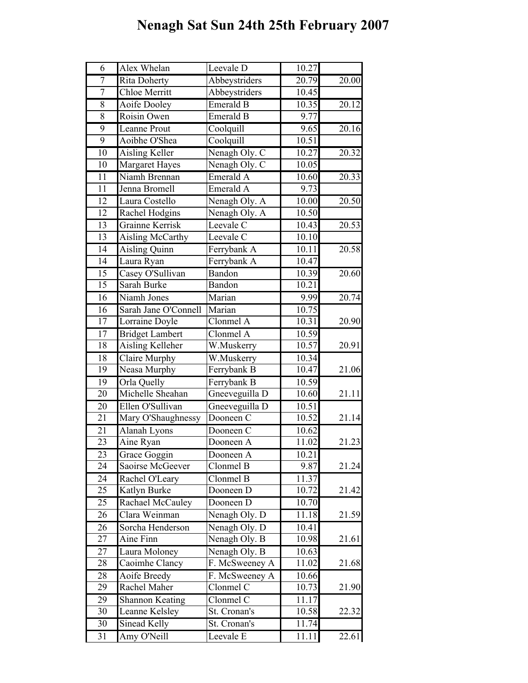| 6               | Alex Whelan             | Leevale D                         | 10.27              |                    |
|-----------------|-------------------------|-----------------------------------|--------------------|--------------------|
| $\overline{7}$  | <b>Rita Doherty</b>     | Abbeystriders                     | 20.79              | $\overline{20.00}$ |
| $\overline{7}$  | <b>Chloe Merritt</b>    | Abbeystriders                     | 10.45              |                    |
| 8               | Aoife Dooley            | <b>Emerald B</b>                  | 10.35              | 20.12              |
| $\overline{8}$  | Roisin Owen             | Emerald B                         | 9.77               |                    |
| 9               | Leanne Prout            | Coolquill                         | 9.65               | 20.16              |
| 9               | Aoibhe O'Shea           | Coolquill                         | 10.51              |                    |
| 10              | Aisling Keller          | Nenagh Oly. C                     | 10.27              | 20.32              |
| $\overline{10}$ | Margaret Hayes          | Nenagh Oly. C                     | 10.05              |                    |
| 11              | Niamh Brennan           | Emerald A                         | 10.60              | 20.33              |
| $\overline{11}$ | Jenna Bromell           | Emerald A                         | 9.73               |                    |
| 12              | Laura Costello          | Nenagh Oly. A                     | 10.00              | 20.50              |
| 12              | Rachel Hodgins          | Nenagh Oly. A                     | 10.50              |                    |
| 13              | Grainne Kerrisk         | Leevale C                         | 10.43              | 20.53              |
| $\overline{13}$ | <b>Aisling McCarthy</b> | Leevale C                         | 10.10              |                    |
| 14              | <b>Aisling Quinn</b>    | Ferrybank A                       | 10.11              | 20.58              |
| 14              | Laura Ryan              | Ferrybank A                       | 10.47              |                    |
| 15              | Casey O'Sullivan        | Bandon                            | 10.39              | 20.60              |
| $\overline{15}$ | Sarah Burke             | Bandon                            | 10.21              |                    |
| 16              | Niamh Jones             | Marian                            | 9.99               | 20.74              |
| 16              | Sarah Jane O'Connell    | Marian                            | 10.75              |                    |
| 17              | Lorraine Doyle          | Clonmel A                         | $10.\overline{31}$ | 20.90              |
| $\overline{17}$ | <b>Bridget Lambert</b>  | Clonmel A                         | 10.59              |                    |
| $\overline{18}$ | <b>Aisling Kelleher</b> | W.Muskerry                        | 10.57              | 20.91              |
| 18              | Claire Murphy           | W.Muskerry                        | 10.34              |                    |
| 19              | Neasa Murphy            | Ferrybank B                       | 10.47              | 21.06              |
| 19              | Orla Quelly             | Ferrybank B                       | 10.59              |                    |
| 20              | Michelle Sheahan        | Gneeveguilla D                    | 10.60              | 21.11              |
| $\overline{20}$ | Ellen O'Sullivan        | Gneeveguilla D                    | 10.51              |                    |
| 21              | Mary O'Shaughnessy      | Dooneen C                         | 10.52              | 21.14              |
| 21              | Alanah Lyons            | Dooneen C                         | 10.62              |                    |
| 23              | Aine Ryan               | Dooneen A                         | 11.02              | 21.23              |
| 23              | Grace Goggin            | Dooneen A                         | 10.21              |                    |
| 24              | Saoirse McGeever        | Clonmel B                         | 9.87               | 21.24              |
| 24              | Rachel O'Leary          | Clonmel B                         | 11.37              |                    |
| 25              | Katlyn Burke            | Dooneen D                         | 10.72              | 21.42              |
| 25              | Rachael McCauley        | Dooneen D                         | 10.70              |                    |
| 26              | Clara Weinman           | Nenagh Oly. D                     | 11.18              | 21.59              |
| 26              | Sorcha Henderson        | Nenagh Oly. D                     | 10.41              |                    |
| 27              | Aine Finn               | Nenagh Oly. B                     | 10.98              | 21.61              |
| 27              | Laura Moloney           | $\overline{\text{Nenagh Oly. B}}$ | 10.63              |                    |
| 28              | Caoimhe Clancy          | F. McSweeney A                    | 11.02              | 21.68              |
| 28              | Aoife Breedy            | F. McSweeney A                    | 10.66              |                    |
| 29              | Rachel Maher            | Clonmel C                         | 10.73              | 21.90              |
| 29              | <b>Shannon Keating</b>  | Clonmel C                         | 11.17              |                    |
| 30              | Leanne Kelsley          | St. Cronan's                      | 10.58              | 22.32              |
| $\overline{30}$ | <b>Sinead Kelly</b>     | St. Cronan's                      | 11.74              |                    |
| 31              | Amy O'Neill             | Leevale $\overline{E}$            | 11.11              | 22.61              |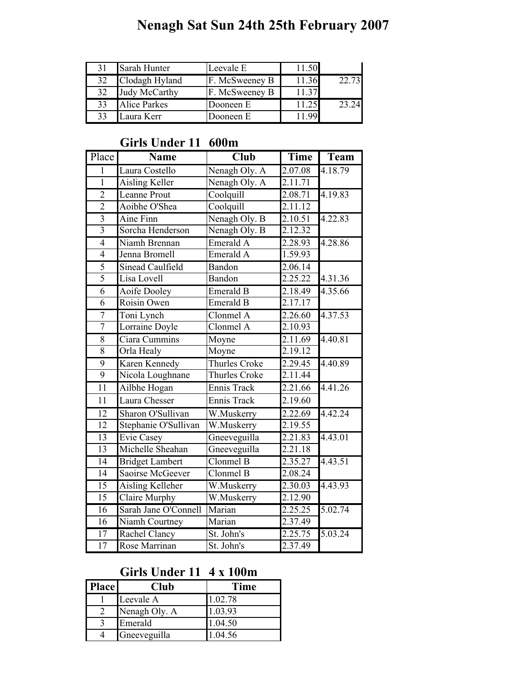| 31 | Sarah Hunter         | Leevale E      | 11.50 |       |
|----|----------------------|----------------|-------|-------|
| 32 | Clodagh Hyland       | F. McSweeney B | 11.36 | 22.73 |
| 32 | <b>Judy McCarthy</b> | F. McSweeney B | 11.37 |       |
| 33 | <b>Alice Parkes</b>  | Dooneen E      | 11.25 | 23 24 |
| 33 | Laura Kerr           | Dooneen E      |       |       |

#### Girls Under 11 600m

| Place           | <b>Name</b>             | <b>Club</b>          | Time                 | Team    |
|-----------------|-------------------------|----------------------|----------------------|---------|
| 1               | Laura Costello          | Nenagh Oly. A        | 2.07.08              | 4.18.79 |
| $\overline{1}$  | <b>Aisling Keller</b>   | Nenagh Oly. A        | 2.11.71              |         |
| $\overline{2}$  | <b>Leanne Prout</b>     | Coolquill            | 2.08.71              | 4.19.83 |
| $\overline{2}$  | Aoibhe O'Shea           | Coolquill            | 2.11.12              |         |
| $\overline{3}$  | Aine Finn               | Nenagh Oly. B        | 2.10.51              | 4.22.83 |
| $\overline{3}$  | Sorcha Henderson        | Nenagh Oly. B        | 2.12.32              |         |
| $\overline{4}$  | Niamh Brennan           | Emerald A            | 2.28.93              | 4.28.86 |
| $\overline{4}$  | Jenna Bromell           | Emerald A            | 1.59.93              |         |
| 5               | <b>Sinead Caulfield</b> | Bandon               | 2.06.14              |         |
| 5               | Lisa Lovell             | Bandon               | 2.25.22              | 4.31.36 |
| $\overline{6}$  | Aoife Dooley            | Emerald B            | 2.18.49              | 4.35.66 |
| 6               | Roisin Owen             | Emerald B            | 2.17.17              |         |
| $\overline{7}$  | Toni Lynch              | Clonmel A            | 2.26.60              | 4.37.53 |
| 7               | Lorraine Doyle          | Clonmel A            | 2.10.93              |         |
| $\overline{8}$  | Ciara Cummins           | Moyne                | 2.11.69              | 4.40.81 |
| 8               | Orla Healy              | Moyne                | 2.19.12              |         |
| 9               | <b>Karen Kennedy</b>    | <b>Thurles Croke</b> | 2.29.45              | 4.40.89 |
| 9               | Nicola Loughnane        | Thurles Croke        | 2.11.44              |         |
| $\overline{11}$ | Ailbhe Hogan            | Ennis Track          | 2.21.66              | 4.41.26 |
| 11              | Laura Chesser           | Ennis Track          | 2.19.60              |         |
| $\overline{12}$ | Sharon O'Sullivan       | W.Muskerry           | 2.22.69              | 4.42.24 |
| $\overline{12}$ | Stephanie O'Sullivan    | W.Muskerry           | 2.19.55              |         |
| 13              | <b>Evie Casey</b>       | Gneeveguilla         | 2.21.83              | 4.43.01 |
| $\overline{13}$ | Michelle Sheahan        | Gneeveguilla         | 2.21.18              |         |
| $\overline{14}$ | <b>Bridget Lambert</b>  | Clonmel B            | 2.35.27              | 4.43.51 |
| $\overline{14}$ | Saoirse McGeever        | Clonmel B            | $2.\overline{08.24}$ |         |
| $\overline{15}$ | <b>Aisling Kelleher</b> | W.Muskerry           | 2.30.03              | 4.43.93 |
| 15              | Claire Murphy           | W.Muskerry           | 2.12.90              |         |
| $\overline{16}$ | Sarah Jane O'Connell    | Marian               | 2.25.25              | 5.02.74 |
| 16              | Niamh Courtney          | Marian               | 2.37.49              |         |
| 17              | Rachel Clancy           | St. John's           | $2.25.\overline{75}$ | 5.03.24 |
| 17              | Rose Marrinan           | St. John's           | 2.37.49              |         |

### Girls Under 11 4 x 100m

| Place | Club          | Time    |
|-------|---------------|---------|
|       | Leevale A     | 1.02.78 |
|       | Nenagh Oly. A | 1.03.93 |
|       | Emerald       | 1.04.50 |
|       | Gneeveguilla  | .04.56  |